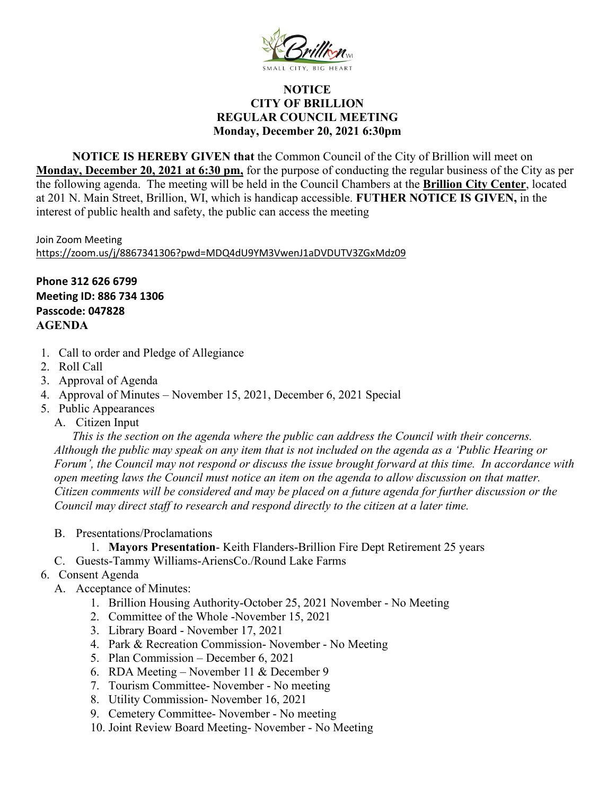

## **NOTICE CITY OF BRILLION REGULAR COUNCIL MEETING Monday, December 20, 2021 6:30pm**

**NOTICE IS HEREBY GIVEN that** the Common Council of the City of Brillion will meet on **Monday, December 20, 2021 at 6:30 pm,** for the purpose of conducting the regular business of the City as per the following agenda. The meeting will be held in the Council Chambers at the **Brillion City Center**, located at 201 N. Main Street, Brillion, WI, which is handicap accessible. **FUTHER NOTICE IS GIVEN,** in the interest of public health and safety, the public can access the meeting

Join Zoom Meeting <https://zoom.us/j/8867341306?pwd=MDQ4dU9YM3VwenJ1aDVDUTV3ZGxMdz09>

**Phone 312 626 6799 Meeting ID: 886 734 1306 Passcode: 047828 AGENDA**

- 1. Call to order and Pledge of Allegiance
- 2. Roll Call
- 3. Approval of Agenda
- 4. Approval of Minutes November 15, 2021, December 6, 2021 Special
- 5. Public Appearances
	- A. Citizen Input

*This is the section on the agenda where the public can address the Council with their concerns. Although the public may speak on any item that is not included on the agenda as a 'Public Hearing or Forum', the Council may not respond or discuss the issue brought forward at this time. In accordance with open meeting laws the Council must notice an item on the agenda to allow discussion on that matter. Citizen comments will be considered and may be placed on a future agenda for further discussion or the Council may direct staff to research and respond directly to the citizen at a later time.* 

- B. Presentations/Proclamations
	- 1. **Mayors Presentation** Keith Flanders-Brillion Fire Dept Retirement 25 years
- C. Guests-Tammy Williams-AriensCo./Round Lake Farms

## 6. Consent Agenda

- A. Acceptance of Minutes:
	- 1. Brillion Housing Authority-October 25, 2021 November No Meeting
	- 2. Committee of the Whole -November 15, 2021
	- 3. Library Board November 17, 2021
	- 4. Park & Recreation Commission- November No Meeting
	- 5. Plan Commission December 6, 2021
	- 6. RDA Meeting November 11 & December 9
	- 7. Tourism Committee- November No meeting
	- 8. Utility Commission- November 16, 2021
	- 9. Cemetery Committee- November No meeting
	- 10. Joint Review Board Meeting- November No Meeting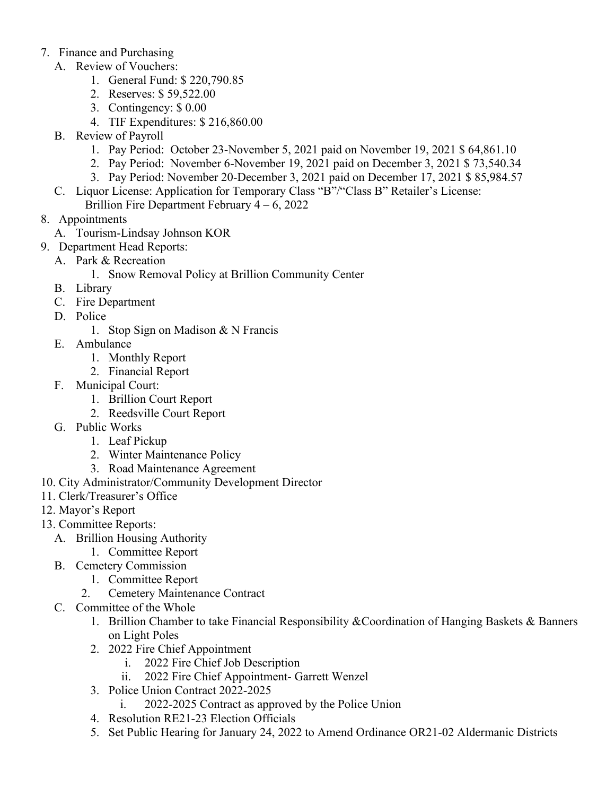## 7. Finance and Purchasing

- A. Review of Vouchers:
	- 1. General Fund: \$ 220,790.85
	- 2. Reserves: \$ 59,522.00
	- 3. Contingency: \$ 0.00
	- 4. TIF Expenditures: \$ 216,860.00
- B. Review of Payroll
	- 1. Pay Period: October 23-November 5, 2021 paid on November 19, 2021 \$ 64,861.10
	- 2. Pay Period: November 6-November 19, 2021 paid on December 3, 2021 \$ 73,540.34
	- 3. Pay Period: November 20-December 3, 2021 paid on December 17, 2021 \$ 85,984.57
- C. Liquor License: Application for Temporary Class "B"/"Class B" Retailer's License: Brillion Fire Department February 4 – 6, 2022
- 8. Appointments
	- A. Tourism-Lindsay Johnson KOR
- 9. Department Head Reports:
- A. Park & Recreation
	- 1. Snow Removal Policy at Brillion Community Center
	- B. Library
	- C. Fire Department
	- D. Police
		- 1. Stop Sign on Madison & N Francis
	- E. Ambulance
		- 1. Monthly Report
		- 2. Financial Report
	- F. Municipal Court:
		- 1. Brillion Court Report
		- 2. Reedsville Court Report
	- G. Public Works
		- 1. Leaf Pickup
		- 2. Winter Maintenance Policy
		- 3. Road Maintenance Agreement
- 10. City Administrator/Community Development Director
- 11. Clerk/Treasurer's Office
- 12. Mayor's Report
- 13. Committee Reports:
	- A. Brillion Housing Authority
		- 1. Committee Report
	- B. Cemetery Commission
		- 1. Committee Report
		- 2. Cemetery Maintenance Contract
	- C. Committee of the Whole
		- 1. Brillion Chamber to take Financial Responsibility &Coordination of Hanging Baskets & Banners on Light Poles
		- 2. 2022 Fire Chief Appointment
			- i. 2022 Fire Chief Job Description
			- ii. 2022 Fire Chief Appointment- Garrett Wenzel
		- 3. Police Union Contract 2022-2025
			- i. 2022-2025 Contract as approved by the Police Union
		- 4. Resolution RE21-23 Election Officials
		- 5. Set Public Hearing for January 24, 2022 to Amend Ordinance OR21-02 Aldermanic Districts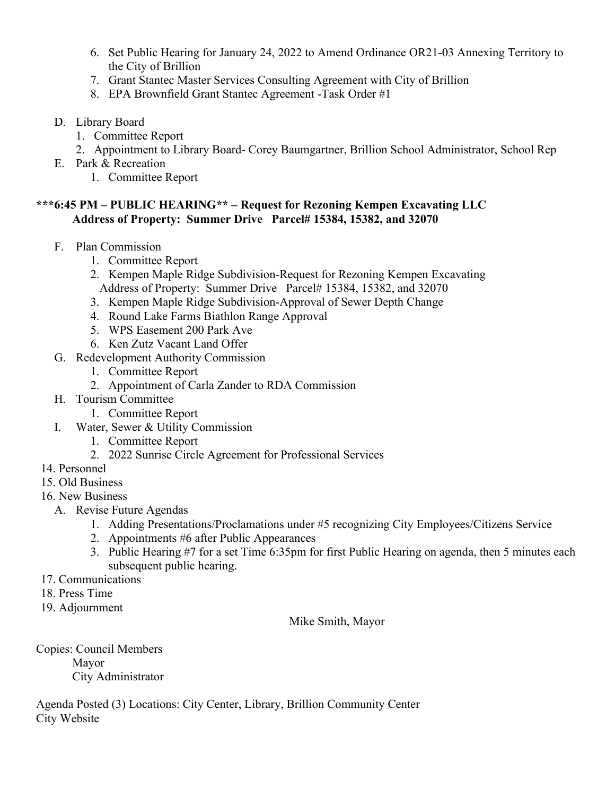- 6. Set Public Hearing for January 24, 2022 to Amend Ordinance OR21-03 Annexing Territory to the City of Brillion
- 7. Grant Stantec Master Services Consulting Agreement with City of Brillion
- 8. EPA Brownfield Grant Stantec Agreement -Task Order #1
- D. Library Board
	- 1. Committee Report
	- 2. Appointment to Library Board- Corey Baumgartner, Brillion School Administrator, School Rep
- E. Park & Recreation
	- 1. Committee Report

## **\*\*\*6:45 PM – PUBLIC HEARING\*\* – Request for Rezoning Kempen Excavating LLC Address of Property: Summer Drive Parcel# 15384, 15382, and 32070**

- F. Plan Commission
	- 1. Committee Report
	- 2. Kempen Maple Ridge Subdivision-Request for Rezoning Kempen Excavating Address of Property: Summer Drive Parcel# 15384, 15382, and 32070
	- 3. Kempen Maple Ridge Subdivision-Approval of Sewer Depth Change
	- 4. Round Lake Farms Biathlon Range Approval
	- 5. WPS Easement 200 Park Ave
	- 6. Ken Zutz Vacant Land Offer
- G. Redevelopment Authority Commission
	- 1. Committee Report
	- 2. Appointment of Carla Zander to RDA Commission
- H. Tourism Committee
	- 1. Committee Report
- I. Water, Sewer & Utility Commission
	- 1. Committee Report
	- 2. 2022 Sunrise Circle Agreement for Professional Services
- 14. Personnel
- 15. Old Business
- 16. New Business
	- A. Revise Future Agendas
		- 1. Adding Presentations/Proclamations under #5 recognizing City Employees/Citizens Service
		- 2. Appointments #6 after Public Appearances
		- 3. Public Hearing #7 for a set Time 6:35pm for first Public Hearing on agenda, then 5 minutes each subsequent public hearing.
- 17. Communications
- 18. Press Time
- 19. Adjournment

Mike Smith, Mayor

Copies: Council Members Mayor City Administrator

Agenda Posted (3) Locations: City Center, Library, Brillion Community Center City Website